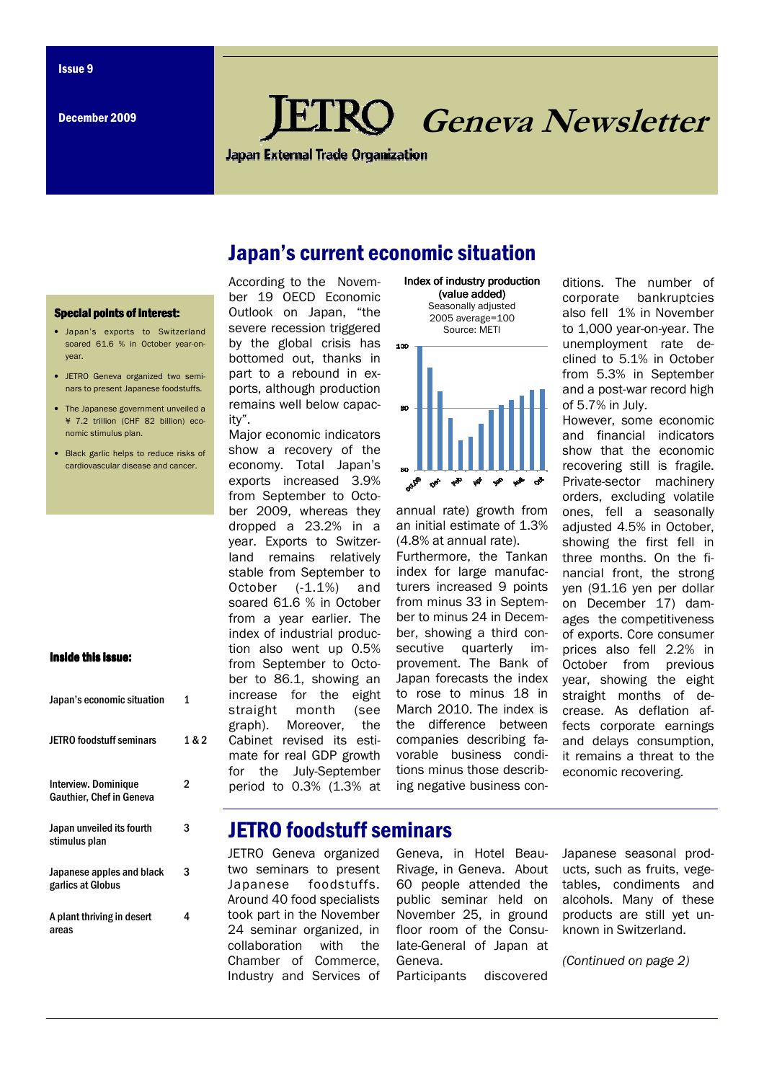# Geneva Newsletter

**Japan External Trade Organization** 

## Japan's current economic situation

#### **Special points of interest:**

- Japan's exports to Switzerland soared 61.6 % in October year-onyear.
- JETRO Geneva organized two seminars to present Japanese foodstuffs.
- The Japanese government unveiled a ¥ 7.2 trillion (CHF 82 billion) economic stimulus plan.
- Black garlic helps to reduce risks of cardiovascular disease and cancer.

#### Inside this issue:

| Japan's economic situation                                     |       |
|----------------------------------------------------------------|-------|
| <b>JETRO foodstuff seminars</b>                                | 1 & 2 |
| <b>Interview. Dominique</b><br><b>Gauthier, Chef in Geneva</b> | 2     |
| Japan unveiled its fourth<br>stimulus plan                     | 3     |
| Japanese apples and black<br>garlics at Globus                 | 3     |
| A plant thriving in desert<br>areas                            | 4     |

According to the November 19 OECD Economic Outlook on Japan, "the severe recession triggered by the global crisis has bottomed out, thanks in part to a rebound in exports, although production remains well below capacity".

Major economic indicators show a recovery of the economy. Total Japan's exports increased 3.9% from September to October 2009, whereas they dropped a 23.2% in a year. Exports to Switzerland remains relatively stable from September to October (-1.1%) and soared 61.6 % in October from a year earlier. The index of industrial production also went up 0.5% from September to October to 86.1, showing an increase for the eight straight month (see graph). Moreover, the Cabinet revised its estimate for real GDP growth for the July-September period to 0.3% (1.3% at





annual rate) growth from an initial estimate of 1.3% (4.8% at annual rate).

Furthermore, the Tankan index for large manufacturers increased 9 points from minus 33 in September to minus 24 in December, showing a third consecutive quarterly improvement. The Bank of Japan forecasts the index to rose to minus 18 in March 2010. The index is the difference between companies describing favorable business conditions minus those describing negative business conditions. The number of corporate bankruptcies also fell 1% in November to 1,000 year-on-year. The unemployment rate declined to 5.1% in October from 5.3% in September and a post-war record high of 5.7% in July.

However, some economic and financial indicators show that the economic recovering still is fragile. Private-sector machinery orders, excluding volatile ones, fell a seasonally adjusted 4.5% in October, showing the first fell in three months. On the financial front, the strong yen (91.16 yen per dollar on December 17) damages the competitiveness of exports. Core consumer prices also fell 2.2% in October from previous year, showing the eight straight months of decrease. As deflation affects corporate earnings and delays consumption, it remains a threat to the economic recovering.

## JETRO foodstuff seminars

JETRO Geneva organized two seminars to present Japanese foodstuffs. Around 40 food specialists took part in the November 24 seminar organized, in collaboration with the Chamber of Commerce, Industry and Services of

Geneva, in Hotel Beau-Rivage, in Geneva. About 60 people attended the public seminar held on November 25, in ground floor room of the Consulate-General of Japan at Geneva. Participants discovered

Japanese seasonal products, such as fruits, vegetables, condiments and alcohols. Many of these products are still yet unknown in Switzerland.

(Continued on page 2)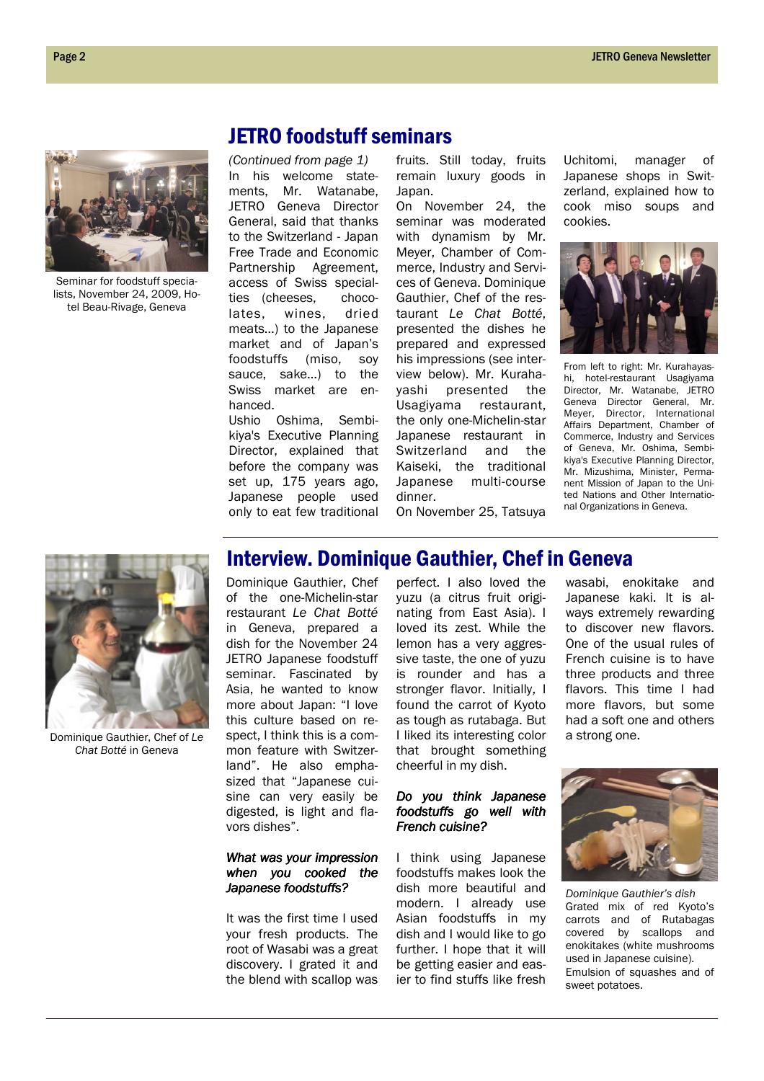## JETRO foodstuff seminars

(Continued from page 1) In his welcome statements, Mr. Watanabe, JETRO Geneva Director General, said that thanks to the Switzerland - Japan Free Trade and Economic Partnership Agreement, access of Swiss specialties (cheeses, chocolates, wines, dried meats…) to the Japanese market and of Japan's foodstuffs (miso, soy sauce, sake…) to the Swiss market are enhanced.

Ushio Oshima, Sembikiya's Executive Planning Director, explained that before the company was set up, 175 years ago, Japanese people used only to eat few traditional fruits. Still today, fruits remain luxury goods in Japan.

On November 24, the seminar was moderated with dynamism by Mr. Meyer, Chamber of Commerce, Industry and Services of Geneva. Dominique Gauthier, Chef of the restaurant Le Chat Botté, presented the dishes he prepared and expressed his impressions (see interview below). Mr. Kurahayashi presented the Usagiyama restaurant, the only one-Michelin-star Japanese restaurant in Switzerland and the Kaiseki, the traditional Japanese multi-course dinner.

Uchitomi, manager of Japanese shops in Switzerland, explained how to cook miso soups and cookies.



From left to right: Mr. Kurahayashi, hotel-restaurant Usagiyama Director, Mr. Watanabe, JETRO Geneva Director General, Mr. Meyer, Director, International Affairs Department, Chamber of Commerce, Industry and Services of Geneva, Mr. Oshima, Sembikiya's Executive Planning Director, Mr. Mizushima, Minister, Permanent Mission of Japan to the United Nations and Other International Organizations in Geneva.

On November 25, Tatsuya



Seminar for foodstuff specialists, November 24, 2009, Hotel Beau-Rivage, Geneva

Dominique Gauthier, Chef of Le Chat Botté in Geneva

## Interview. Dominique Gauthier, Chef in Geneva

Dominique Gauthier, Chef of the one-Michelin-star restaurant Le Chat Botté in Geneva, prepared a dish for the November 24 JETRO Japanese foodstuff seminar. Fascinated by Asia, he wanted to know more about Japan: "I love this culture based on respect, I think this is a common feature with Switzerland". He also emphasized that "Japanese cuisine can very easily be digested, is light and flavors dishes".

#### What was your impression when you cooked the Japanese foodstuffs?

It was the first time I used your fresh products. The root of Wasabi was a great discovery. I grated it and the blend with scallop was

perfect. I also loved the yuzu (a citrus fruit originating from East Asia). I loved its zest. While the lemon has a very aggressive taste, the one of yuzu is rounder and has a stronger flavor. Initially, I found the carrot of Kyoto as tough as rutabaga. But I liked its interesting color that brought something cheerful in my dish.

### Do you think Japanese foodstuffs go well with French cuisine?

I think using Japanese foodstuffs makes look the dish more beautiful and modern. I already use Asian foodstuffs in my dish and I would like to go further. I hope that it will be getting easier and easier to find stuffs like fresh

wasabi, enokitake and Japanese kaki. It is always extremely rewarding to discover new flavors. One of the usual rules of French cuisine is to have three products and three flavors. This time I had more flavors, but some had a soft one and others a strong one.



Dominique Gauthier's dish Grated mix of red Kyoto's carrots and of Rutabagas covered by scallops and enokitakes (white mushrooms used in Japanese cuisine). Emulsion of squashes and of sweet potatoes.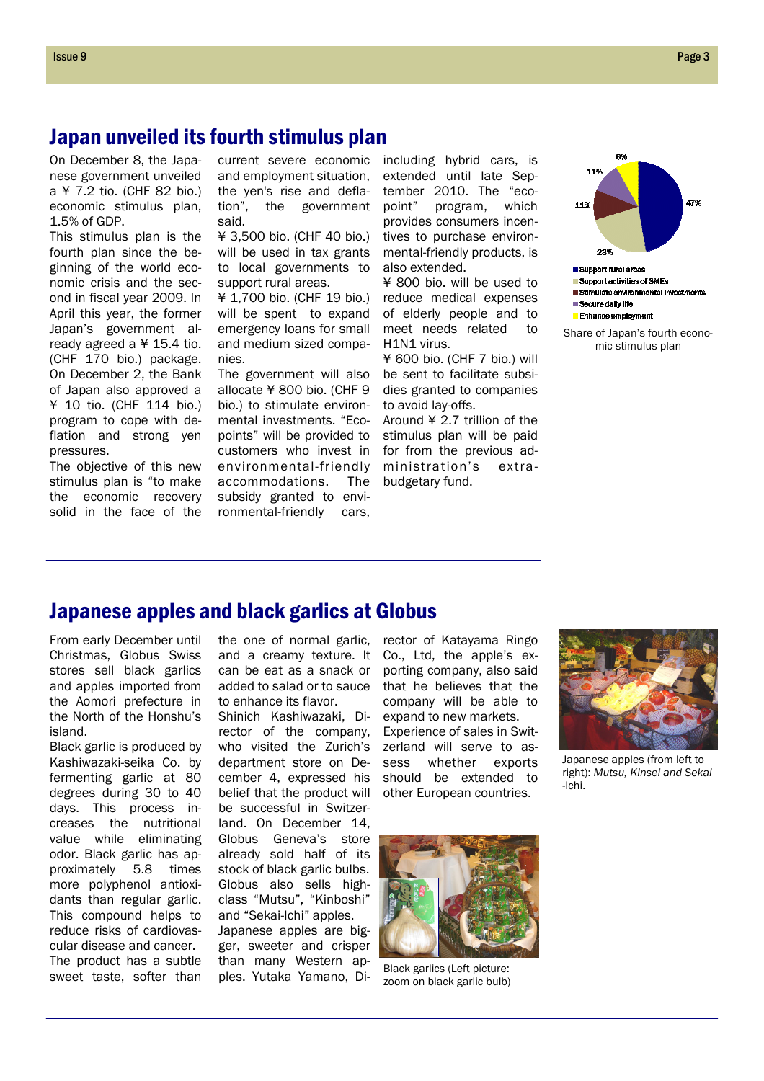## Japan unveiled its fourth stimulus plan

On December 8, the Japanese government unveiled a ¥ 7.2 tio. (CHF 82 bio.) economic stimulus plan, 1.5% of GDP.

This stimulus plan is the fourth plan since the beginning of the world economic crisis and the second in fiscal year 2009. In April this year, the former Japan's government already agreed a ¥ 15.4 tio. (CHF 170 bio.) package. On December 2, the Bank of Japan also approved a ¥ 10 tio. (CHF 114 bio.) program to cope with deflation and strong yen pressures.

The objective of this new stimulus plan is "to make the economic recovery solid in the face of the current severe economic and employment situation, the yen's rise and deflation", the government said.

¥ 3,500 bio. (CHF 40 bio.) will be used in tax grants to local governments to support rural areas.

¥ 1,700 bio. (CHF 19 bio.) will be spent to expand emergency loans for small and medium sized companies.

The government will also allocate ¥ 800 bio. (CHF 9 bio.) to stimulate environmental investments. "Ecopoints" will be provided to customers who invest in environmental-friendly accommodations. The subsidy granted to environmental-friendly cars,

including hybrid cars, is extended until late September 2010. The "ecopoint" program, which provides consumers incentives to purchase environmental-friendly products, is also extended.

¥ 800 bio. will be used to reduce medical expenses of elderly people and to meet needs related to H1N1 virus.

¥ 600 bio. (CHF 7 bio.) will be sent to facilitate subsidies granted to companies to avoid lay-offs.

Around ¥ 2.7 trillion of the stimulus plan will be paid for from the previous administration's extrabudgetary fund.



Share of Japan's fourth economic stimulus plan

## Japanese apples and black garlics at Globus

From early December until Christmas, Globus Swiss stores sell black garlics and apples imported from the Aomori prefecture in the North of the Honshu's island.

Black garlic is produced by Kashiwazaki-seika Co. by fermenting garlic at 80 degrees during 30 to 40 days. This process increases the nutritional value while eliminating odor. Black garlic has approximately 5.8 times more polyphenol antioxidants than regular garlic. This compound helps to reduce risks of cardiovascular disease and cancer. The product has a subtle sweet taste, softer than

the one of normal garlic, and a creamy texture. It can be eat as a snack or added to salad or to sauce to enhance its flavor.

Shinich Kashiwazaki, Director of the company, who visited the Zurich's department store on December 4, expressed his belief that the product will be successful in Switzerland. On December 14, Globus Geneva's store already sold half of its stock of black garlic bulbs. Globus also sells highclass "Mutsu", "Kinboshi" and "Sekai-Ichi" apples. Japanese apples are bigger, sweeter and crisper than many Western apples. Yutaka Yamano, Director of Katayama Ringo Co., Ltd, the apple's exporting company, also said that he believes that the company will be able to expand to new markets. Experience of sales in Switzerland will serve to assess whether exports should be extended to other European countries.



Japanese apples (from left to right): Mutsu, Kinsei and Sekai -Ichi.



Black garlics (Left picture: zoom on black garlic bulb)